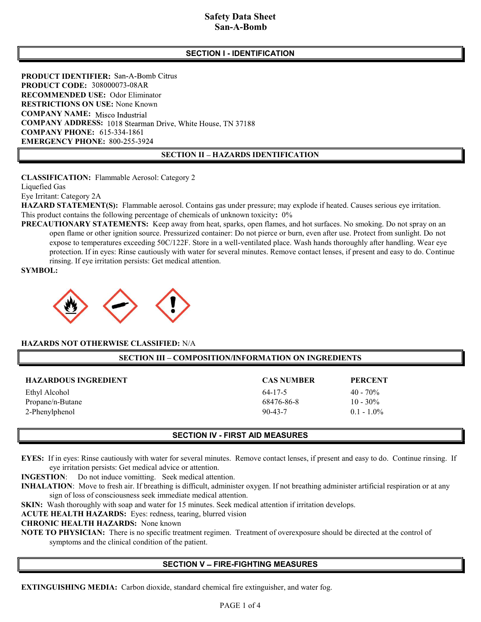# Safety Data Sheet **San-A-Bomb**

# SECTION I - IDENTIFICATION

PRODUCT IDENTIFIER: San-A-Bomb Citrus PRODUCT CODE: 308000073-08AR RECOMMENDED USE: Odor Eliminator RESTRICTIONS ON USE: None Known COMPANY NAME: Misco Industrial COMPANY ADDRESS: 1018 Stearman Drive, White House, TN 37188 **COMPANY PHONE: 615-334-1861** EMERGENCY PHONE: 800-255-3924

#### SECTION II - HAZARDS IDENTIFICATION

CLASSIFICATION: Flammable Aerosol: Category 2

Liquefied Gas

Eye Irritant: Category 2A

HAZARD STATEMENT(S): Flammable aerosol. Contains gas under pressure; may explode if heated. Causes serious eye irritation. This product contains the following percentage of chemicals of unknown toxicity: 0%

PRECAUTIONARY STATEMENTS: Keep away from heat, sparks, open flames, and hot surfaces. No smoking. Do not spray on an open flame or other ignition source. Pressurized container: Do not pierce or burn, even after use. Protect from sunlight. Do not expose to temperatures exceeding 50C/122F. Store in a well-ventilated place. Wash hands thoroughly after handling. Wear eye protection. If in eyes: Rinse cautiously with water for several minutes. Remove contact lenses, if present and easy to do. Continue rinsing. If eye irritation persists: Get medical attention.

SYMBOL:



#### HAZARDS NOT OTHERWISE CLASSIFIED: N/A

#### SECTION III - COMPOSITION/INFORMATION ON INGREDIENTS

| <b>HAZARDOUS INGREDIENT</b> | <b>CAS NUMBER</b> | <b>PERCENT</b> |
|-----------------------------|-------------------|----------------|
| Ethyl Alcohol               | $64 - 17 - 5$     | $40 - 70\%$    |
| Propane/n-Butane            | 68476-86-8        | $10 - 30\%$    |
| 2-Phenylphenol              | $90 - 43 - 7$     | $0.1 - 1.0\%$  |

#### SECTION IV - FIRST AID MEASURES

EYES: If in eyes: Rinse cautiously with water for several minutes. Remove contact lenses, if present and easy to do. Continue rinsing. If eye irritation persists: Get medical advice or attention.

INGESTION: Do not induce vomitting. Seek medical attention.

INHALATION: Move to fresh air. If breathing is difficult, administer oxygen. If not breathing administer artificial respiration or at any sign of loss of consciousness seek immediate medical attention.

SKIN: Wash thoroughly with soap and water for 15 minutes. Seek medical attention if irritation develops.

ACUTE HEALTH HAZARDS: Eyes: redness, tearing, blurred vision

CHRONIC HEALTH HAZARDS: None known

NOTE TO PHYSICIAN: There is no specific treatment regimen. Treatment of overexposure should be directed at the control of symptoms and the clinical condition of the patient.

#### **SECTION V - FIRE-FIGHTING MEASURES**

EXTINGUISHING MEDIA: Carbon dioxide, standard chemical fire extinguisher, and water fog.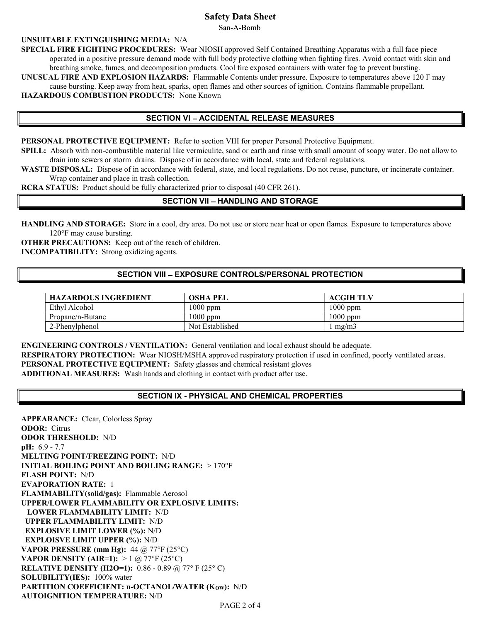# Safety Data Sheet

San-A-Bomb

#### UNSUITABLE EXTINGUISHING MEDIA: N/A

SPECIAL FIRE FIGHTING PROCEDURES: Wear NIOSH approved Self Contained Breathing Apparatus with a full face piece operated in a positive pressure demand mode with full body protective clothing when fighting fires. Avoid contact with skin and breathing smoke, fumes, and decomposition products. Cool fire exposed containers with water fog to prevent bursting.

UNUSUAL FIRE AND EXPLOSION HAZARDS: Flammable Contents under pressure. Exposure to temperatures above 120 F may cause bursting. Keep away from heat, sparks, open flames and other sources of ignition. Contains flammable propellant. HAZARDOUS COMBUSTION PRODUCTS: None Known

#### SECTION VI - ACCIDENTAL RELEASE MEASURES

PERSONAL PROTECTIVE EQUIPMENT: Refer to section VIII for proper Personal Protective Equipment.

SPILL: Absorb with non-combustible material like vermiculite, sand or earth and rinse with small amount of soapy water. Do not allow to drain into sewers or storm drains. Dispose of in accordance with local, state and federal regulations.

WASTE DISPOSAL: Dispose of in accordance with federal, state, and local regulations. Do not reuse, puncture, or incinerate container. Wrap container and place in trash collection.

RCRA STATUS: Product should be fully characterized prior to disposal (40 CFR 261).

#### SECTION VII - HANDLING AND STORAGE

HANDLING AND STORAGE: Store in a cool, dry area. Do not use or store near heat or open flames. Exposure to temperatures above 120°F may cause bursting.

OTHER PRECAUTIONS: Keep out of the reach of children. INCOMPATIBILITY: Strong oxidizing agents.

#### SECTION VIII - EXPOSURE CONTROLS/PERSONAL PROTECTION

| <b>HAZARDOUS INGREDIENT</b> | <b>OSHA PEL</b> | ACGIH TLV  |
|-----------------------------|-----------------|------------|
| Ethyl Alcohol               | 1000 ppm        | 1000 ppm   |
| Propane/n-Butane            | $1000$ ppm      | $1000$ ppm |
| 2-Phenylphenol              | Not Established | me/m3      |

ENGINEERING CONTROLS / VENTILATION: General ventilation and local exhaust should be adequate.

RESPIRATORY PROTECTION: Wear NIOSH/MSHA approved respiratory protection if used in confined, poorly ventilated areas.

PERSONAL PROTECTIVE EQUIPMENT: Safety glasses and chemical resistant gloves

ADDITIONAL MEASURES: Wash hands and clothing in contact with product after use.

# SECTION IX - PHYSICAL AND CHEMICAL PROPERTIES

| <b>APPEARANCE:</b> Clear, Colorless Spray                        |  |
|------------------------------------------------------------------|--|
| <b>ODOR:</b> Citrus                                              |  |
| <b>ODOR THRESHOLD: N/D</b>                                       |  |
| pH: 6.9 - 7.7                                                    |  |
| <b>MELTING POINT/FREEZING POINT: N/D</b>                         |  |
| <b>INITIAL BOILING POINT AND BOILING RANGE:</b> $>170^{\circ}$ F |  |
| <b>FLASH POINT: N/D</b>                                          |  |
| <b>EVAPORATION RATE: 1</b>                                       |  |
| FLAMMABILITY(solid/gas): Flammable Aerosol                       |  |
| <b>UPPER/LOWER FLAMMABILITY OR EXPLOSIVE LIMITS:</b>             |  |
| <b>LOWER FLAMMABILITY LIMIT: N/D</b>                             |  |
| <b>UPPER FLAMMABILITY LIMIT: N/D</b>                             |  |
| <b>EXPLOSIVE LIMIT LOWER (%): N/D</b>                            |  |
| <b>EXPLOISVE LIMIT UPPER (%): N/D</b>                            |  |
| VAPOR PRESSURE (mm Hg): $44 @ 77°F (25°C)$                       |  |
| <b>VAPOR DENSITY (AIR=1):</b> > 1 @ 77°F (25°C)                  |  |
| <b>RELATIVE DENSITY (H2O=1):</b> 0.86 - 0.89 @ 77° F (25° C)     |  |
| SOLUBILITY(IES): 100% water                                      |  |
| PARTITION COEFFICIENT: n-OCTANOL/WATER (Kow): N/D                |  |
| <b>AUTOIGNITION TEMPERATURE: N/D</b>                             |  |
| $P_{1}$                                                          |  |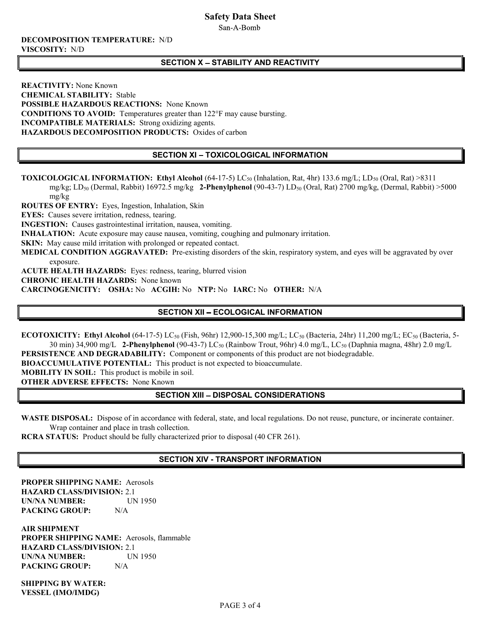# Safety Data Sheet

San-A-Bomb

#### DECOMPOSITION TEMPERATURE: N/D VISCOSITY: N/D

# SECTION X - STABILITY AND REACTIVITY

REACTIVITY: None Known CHEMICAL STABILITY: Stable POSSIBLE HAZARDOUS REACTIONS: None Known CONDITIONS TO AVOID: Temperatures greater than 122°F may cause bursting. INCOMPATIBLE MATERIALS: Strong oxidizing agents. HAZARDOUS DECOMPOSITION PRODUCTS: Oxides of carbon

# SECTION XI - TOXICOLOGICAL INFORMATION

**TOXICOLOGICAL INFORMATION: Ethyl Alcohol** (64-17-5) LC<sub>50</sub> (Inhalation, Rat, 4hr) 133.6 mg/L; LD<sub>50</sub> (Oral, Rat) >8311

mg/kg; LD<sub>50</sub> (Dermal, Rabbit) 16972.5 mg/kg 2-Phenylphenol (90-43-7) LD<sub>50</sub> (Oral, Rat) 2700 mg/kg, (Dermal, Rabbit) >5000 mg/kg

ROUTES OF ENTRY: Eyes, Ingestion, Inhalation, Skin

EYES: Causes severe irritation, redness, tearing.

INGESTION: Causes gastrointestinal irritation, nausea, vomiting.

INHALATION: Acute exposure may cause nausea, vomiting, coughing and pulmonary irritation.

SKIN: May cause mild irritation with prolonged or repeated contact.

MEDICAL CONDITION AGGRAVATED: Pre-existing disorders of the skin, respiratory system, and eyes will be aggravated by over exposure.

ACUTE HEALTH HAZARDS: Eyes: redness, tearing, blurred vision

CHRONIC HEALTH HAZARDS: None known

CARCINOGENICITY: OSHA: No ACGIH: No NTP: No IARC: No OTHER: N/A

# SECTION XII - ECOLOGICAL INFORMATION

ECOTOXICITY: Ethyl Alcohol (64-17-5) LC<sub>50</sub> (Fish, 96hr) 12,900-15,300 mg/L; LC<sub>50</sub> (Bacteria, 24hr) 11,200 mg/L; EC<sub>50</sub> (Bacteria, 5-30 min) 34,900 mg/L 2-Phenylphenol (90-43-7) LC<sub>50</sub> (Rainbow Trout, 96hr) 4.0 mg/L, LC<sub>50</sub> (Daphnia magna, 48hr) 2.0 mg/L

PERSISTENCE AND DEGRADABILITY: Component or components of this product are not biodegradable.

BIOACCUMULATIVE POTENTIAL: This product is not expected to bioaccumulate.

MOBILITY IN SOIL: This product is mobile in soil.

OTHER ADVERSE EFFECTS: None Known

# **SECTION XIII - DISPOSAL CONSIDERATIONS**

WASTE DISPOSAL: Dispose of in accordance with federal, state, and local regulations. Do not reuse, puncture, or incinerate container. Wrap container and place in trash collection.

RCRA STATUS: Product should be fully characterized prior to disposal (40 CFR 261).

# SECTION XIV - TRANSPORT INFORMATION

PROPER SHIPPING NAME: Aerosols HAZARD CLASS/DIVISION: 2.1 UN/NA NUMBER: UN 1950 PACKING GROUP: N/A

AIR SHIPMENT PROPER SHIPPING NAME: Aerosols, flammable HAZARD CLASS/DIVISION: 2.1 UN/NA NUMBER: UN 1950 PACKING GROUP: N/A

SHIPPING BY WATER: VESSEL (IMO/IMDG)